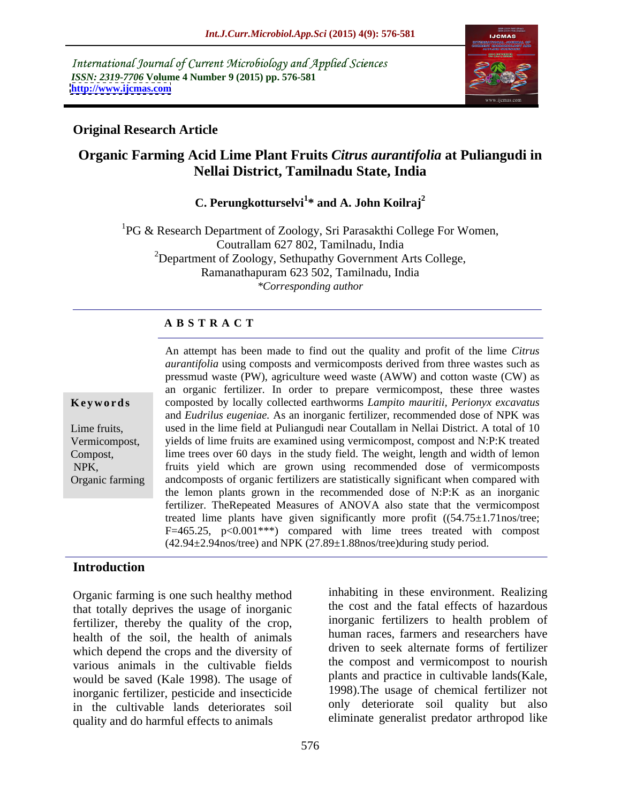International Journal of Current Microbiology and Applied Sciences *ISSN: 2319-7706* **Volume 4 Number 9 (2015) pp. 576-581 <http://www.ijcmas.com>**



### **Original Research Article**

# **Organic Farming Acid Lime Plant Fruits** *Citrus aurantifolia* **at Puliangudi in Nellai District, Tamilnadu State, India**

#### C. Perungkotturselvi<sup>1\*</sup> and A. John Koilraj<sup>2</sup> **\* and A. John Koilraj<sup>2</sup>**

 ${}^{1}PG \&$  Research Department of Zoology, Sri Parasakthi College For Women, Coutrallam 627 802, Tamilnadu, India <sup>2</sup>Department of Zoology, Sethupathy Government Arts College, Ramanathapuram 623 502, Tamilnadu, India *\*Corresponding author*

#### **A B S T R A C T**

Organic farming

An attempt has been made to find out the quality and profit of the lime *Citrus aurantifolia* using composts and vermicomposts derived from three wastes such as pressmud waste (PW), agriculture weed waste (AWW) and cotton waste (CW) as an organic fertilizer. In order to prepare vermicompost, these three wastes composted by locally collected earthworms *Lampito mauritii, Perionyx excavatus* **Ke ywo rds** and *Eudrilus eugeniae.* As an inorganic fertilizer, recommended dose of NPK was used in the lime field at Puliangudi near Coutallam in Nellai District. A total of 10 Lime fruits, Vermicompost, yields of lime fruits are examined using vermicompost, compost and N:P:K treated lime trees over 60 days in the study field. The weight, length and width of lemon Compost, fruits yield which are grown using recommended dose of vermicomposts NPK, andcomposts of organic fertilizers are statistically significant when compared with the lemon plants grown in the recommended doseof N:P:K as an inorganic fertilizer. TheRepeated Measures of ANOVA also state that the vermicompost treated lime plants have given significantly more profit  $((54.75 \pm 1.71 \text{nos/tree}))$ F=465.25,  $p<0.001***$  compared with lime trees treated with compost  $(42.94\pm 2.94$ nos/tree) and NPK  $(27.89\pm 1.88$ nos/tree)during study period.

### **Introduction**

Organic farming is one such healthy method that totally deprives the usage of inorganic fertilizer, thereby the quality of the crop, health of the soil, the health of animals which depend the crops and the diversity of various animals in the cultivable fields would be saved (Kale 1998). The usage of inorganic fertilizer, pesticide and insecticide in the cultivable lands deteriorates soil quality and do harmful effects to animals

inhabiting in these environment. Realizing the cost and the fatal effects of hazardous inorganic fertilizers to health problem of human races, farmers and researchers have driven to seek alternate forms of fertilizer the compost and vermicompost to nourish plants and practice in cultivable lands(Kale, 1998).The usage of chemical fertilizer not only deteriorate soil quality but also eliminate generalist predator arthropod like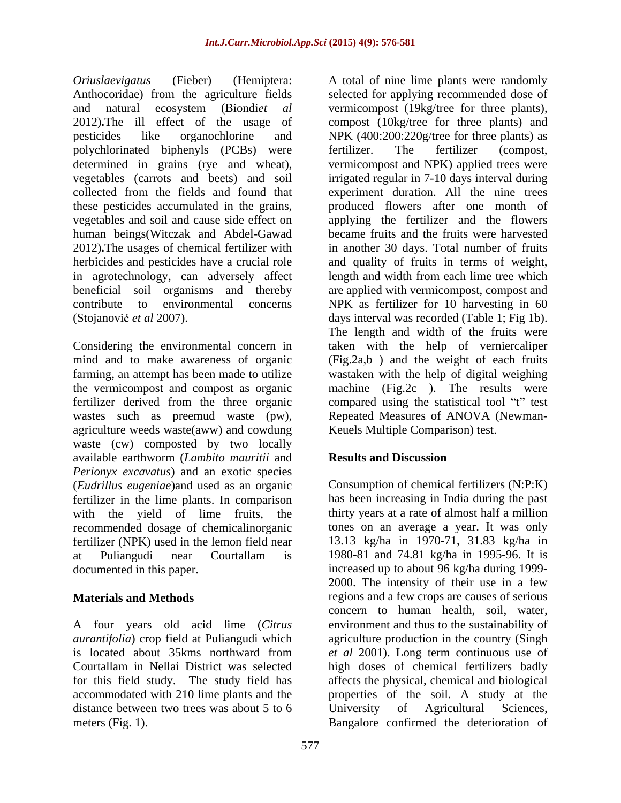polychlorinated biphenyls (PCBs) were human beings(Witczak and Abdel-Gawad in agrotechnology, can adversely affect beneficial soil organisms and thereby (Stojanović *et al* 2007). days interval was recorded (Table 1; Fig 1b).

wastes such as preemud waste (pw), agriculture weeds waste(aww) and cowdung waste (cw) composted by two locally available earthworm (*Lambito mauritii* and *Perionyx excavatus*) and an exotic species (*Eudrillus eugeniae*)and used as an organic fertilizer in the lime plants. In comparison with the yield of lime fruits, the recommended dosage of chemicalinorganic fertilizer (NPK) used in the lemon field near 13.13 kg/ha in 1970-71, 31.83 kg/ha in at Puliangudi near Courtallam is 1980-81 and 74.81 kg/ha in 1995-96. It is

accommodated with 210 lime plants and the distance between two trees was about 5 to 6 University of Agricultural Sciences,

*Oriuslaevigatus* (Fieber) (Hemiptera: A total of nine lime plants were randomly Anthocoridae) from the agriculture fields selected for applying recommended dose of and natural ecosystem (Biondi*et al* vermicompost (19kg/tree for three plants), 2012)**.**The ill effect of the usage of compost (10kg/tree for three plants) and pesticides like organochlorine and NPK (400:200:220g/tree for three plants) as determined in grains (rye and wheat), vermicompost and NPK) applied trees were vegetables (carrots and beets) and soil irrigated regular in 7-10 days interval during collected from the fields and found that experiment duration. All the nine trees these pesticides accumulated in the grains, produced flowers after one month of vegetables and soil and cause side effect on applying the fertilizer and the flowers 2012)**.**The usages of chemical fertilizer with in another 30 days. Total number of fruits herbicides and pesticides have a crucial role and quality of fruits in terms of weight, contribute to environmental concerns NPK as fertilizer for 10 harvesting in 60 Considering the environmental concern in taken with the help of verniercaliper mind and to make awareness of organic (Fig.2a,b) and the weight of each fruits farming, an attempt has been made to utilize wastaken with the help of digital weighing the vermicompost and compost as organic machine (Fig.2c ). The results were fertilizer derived from the three organic compared using the statistical tool "t" test fertilizer. The fertilizer (compost, became fruits and the fruits were harvested length and width from each lime tree which are applied with vermicompost, compost and days interval was recorded (Table 1; Fig 1b). The length and width of the fruits were Repeated Measures of ANOVA (Newman- Keuels Multiple Comparison) test.

## **Results and Discussion**

documented in this paper. increased up to about 96 kg/ha during 1999- **Materials and Methods** regions and a few crops are causes of serious A four years old acid lime (*Citrus*  environment and thus to the sustainability of *aurantifolia*) crop field at Puliangudi which agriculture production in the country (Singh is located about 35kms northward from *et al* 2001). Long term continuous use of Courtallam in Nellai District was selected high doses of chemical fertilizers badly for this field study. The study field has affects the physical, chemical and biological meters (Fig. 1). Bangalore confirmed the deterioration ofConsumption of chemical fertilizers (N:P:K) has been increasing in India during the past thirty years at a rate of almost half a million tones on an average a year. It was only 1980-81 and 74.81 kg/ha in 1995-96. It is 2000. The intensity of their use in a few concern to human health, soil, water, properties of the soil. A study at the University of Agricultural Sciences,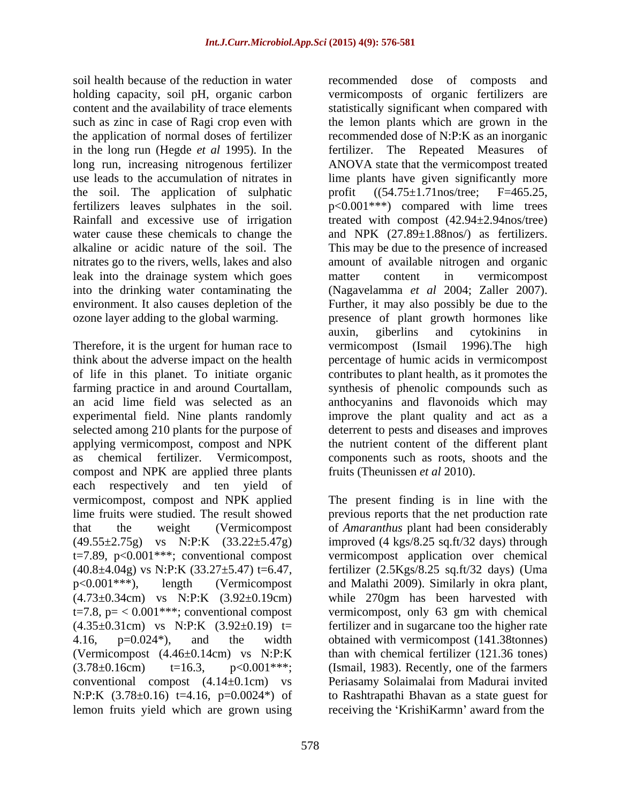soil health because of the reduction in water examples are recommended dose of composts and holding capacity, soil pH, organic carbon content and the availability of trace elements in the long run (Hegde *et al* 1995). In the the soil. The application of sulphatic profit  $((54.75 \pm 1.71 \text{nos/tree})$ . F=465.25, Rainfall and excessive use of irrigation leak into the drainage system which goes matter content in vermicompost

Therefore, it is the urgent for human race to vermicompost (Ismail 1996). The high applying vermicompost, compost and NPK compost and NPK are applied three plants each respectively and ten yield of vermicompost, compost and NPK applied The present finding is in line with the lime fruits were studied. The result showed previous reports that the net production rate that the weight (Vermicompost of *Amaranthus* plant had been considerably (49.55±2.75g) vs N:P:K (33.22±5.47g) improved (4 kgs/8.25 sq.ft/32 days) through t=7.89, p<0.001\*\*\*; conventional compost vermicompost application over chemical  $(40.8\pm4.04g)$  vs N:P:K  $(33.27\pm5.47)$  t=6.47, p<0.001\*\*\*), length (Vermicompost and Malathi 2009). Similarly in okra plant,  $(4.73\pm0.34cm)$  vs N:P:K  $(3.92\pm0.19cm)$  while 270gm has been harvested with t=7.8, p= < 0.001\*\*\*; conventional compost vermicompost, only 63 gm with chemical  $(4.35\pm0.31$ cm) vs N:P:K  $(3.92\pm0.19)$  t= fertilizer and in sugarcane too the higher rate 4.16, p=0.024\*), and the width obtained with vermicompost (141.38tonnes) (Vermicompost (4.46±0.14cm) vs N:P:K than with chemical fertilizer (121.36 tones)  $(3.78 \pm 0.16 \text{cm})$  t=16.3,  $p < 0.001$ \*\*\*; (Ismail, 1983). Recently, one of the farmers conventional compost  $(4.14\pm0.1cm)$  vs N:P:K (3.78±0.16) t=4.16, p=0.0024\*) of lemon fruits yield which are grown using

such as zinc in case of Ragi crop even with the lemon plants which are grown in the the application of normal doses of fertilizer recommended dose of N:P:K as an inorganic long run, increasing nitrogenous fertilizer ANOVA state that the vermicompost treated use leads to the accumulation of nitrates in lime plants have given significantly more fertilizers leaves sulphates in the soil.  $p<0.001***$  compared with lime trees water cause these chemicals to change the and NPK (27.89 $\pm$ 1.88nos/) as fertilizers. alkaline or acidic nature of the soil. The This may be due to the presence of increased nitrates go to the rivers, wells, lakes and also amount of available nitrogen and organic into the drinking water contaminating the (Nagavelamma *et al* 2004; Zaller 2007). environment. It also causes depletion of the Further, it may also possibly be due to the ozone layer adding to the global warming. presence of plant growth hormones like think about the adverse impact on the health percentage of humic acids in vermicompost of life in this planet. To initiate organic contributes to plant health, as it promotes the farming practice in and around Courtallam, synthesis of phenolic compounds such as an acid lime field was selected as an anthocyanins and flavonoids which may experimental field. Nine plants randomly improve the plant quality and act as a selected among 210 plants for the purpose of deterrent to pests and diseases and improves as chemical fertilizer. Vermicompost, components such as roots, shoots and the recommended dose of composts vermicomposts of organic fertilizers are statistically significant when compared with The Repeated Measures of  $((54.75 \pm 1.71) \text{nos/tree})$ treated with compost  $(42.94 \pm 2.94 \text{nos}/\text{tree})$ matter content in vermicompost auxin, giberlins and cytokinins in vermicompost (Ismail 1996).The high the nutrient content of the different plant fruits (Theunissen *et al* 2010).

> fertilizer (2.5Kgs/8.25 sq.ft/32 days) (Uma Periasamy Solaimalai from Madurai invited to Rashtrapathi Bhavan as a state guest for receiving the 'KrishiKarmn' award from the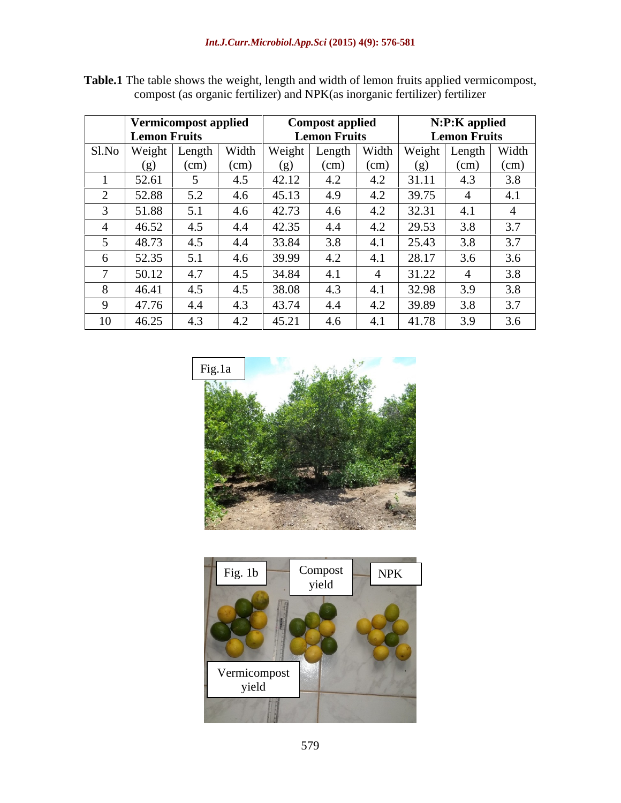|       | <b>Vermicompost applied</b><br><b>Lemon Fruits</b> |                         |      | <b>Compost applied</b><br><b>Lemon Fruits</b> |                                                   |      | N:P:K applied       |      |      |
|-------|----------------------------------------------------|-------------------------|------|-----------------------------------------------|---------------------------------------------------|------|---------------------|------|------|
|       |                                                    |                         |      |                                               |                                                   |      | <b>Lemon Fruits</b> |      |      |
| Sl.No |                                                    | Weight   Length   Width |      |                                               | Weight   Length   Width   Weight   Length   Width |      |                     |      |      |
|       | (g)                                                | (cm)                    | (cm) | (g)                                           | (cm)                                              | (cm) | (g)                 | (cm) | (cm) |
|       | 52.61                                              |                         | 4.5  | 42.12                                         | 4.2                                               | 4.2  | 31.11               | 4.3  | 3.8  |
|       | 52.88                                              | 5.2                     | 4.6  | 45.13                                         | 4.9                                               | 4.2  | 39.75               |      | 4.1  |
|       | 51.88                                              | 5.1                     | 4.6  | 42.73                                         | 4.6                                               | 4.2  | 32.31               | 4.1  |      |
|       | 46.52                                              | 4.J                     | 4.4  | 42.35                                         | 4.4                                               | 4.2  | 29.53               | 3.8  | 3.7  |
|       | 48.73                                              |                         | 4.4  | 33.84                                         | 3.8                                               | 4.1  | 25.43               | 3.8  | 3.7  |
|       | 52.35                                              | 5.1                     | 4.6  | 39.99                                         | 4.2                                               | 4.1  | 28.17               | 3.6  | 3.6  |
|       | 50.12                                              | 4.7                     | 4.5  | 34.84                                         |                                                   |      | 31.22               |      | 3.8  |
|       | 46.41                                              | 4.5                     | 4.5  | 38.08                                         | 4.3                                               | 4.1  | 32.98               | 3.9  | 3.8  |
|       | 47.76                                              | 4.4                     | 4.3  | 43.74                                         | 4.4                                               | 4.2  | 39.89               | 3.8  | 3.7  |
| 10    | 46.25                                              | 4.3                     | 4.2  | 45.21                                         | 4.6                                               |      | 41.78               | 3.9  | 3.6  |

Table.1 The table shows the weight, length and width of lemon fruits applied vermicompost, compost (as organic fertilizer) and NPK(as inorganic fertilizer) fertilizer



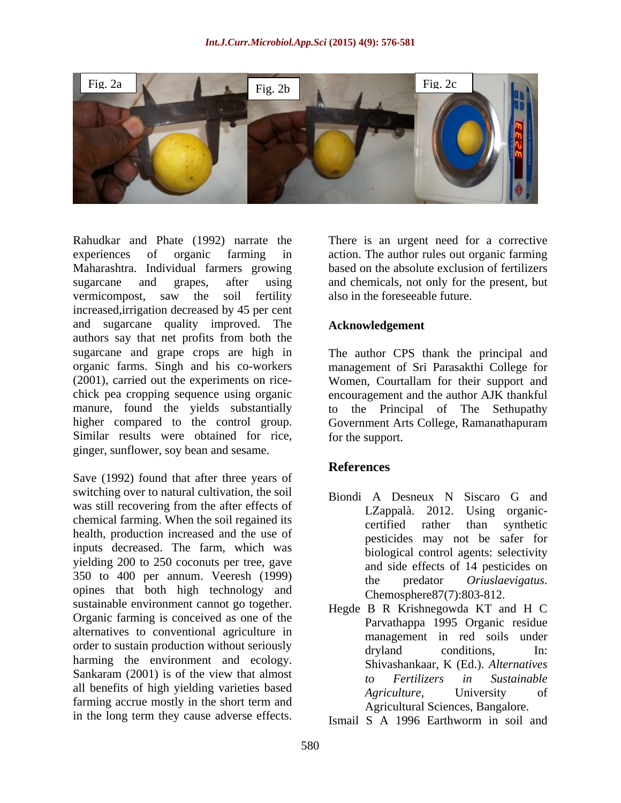

Rahudkar and Phate (1992) narrate the There is an urgent need for a corrective experiences of organic farming in action. The author rules out organic farming Maharashtra. Individual farmers growing sugarcane and grapes, after using and chemicals, not only for the present, but vermicompost, saw the soil fertility also in the foreseeable future. increased,irrigation decreased by 45 per cent and sugarcane quality improved. The authors say that net profits from both the sugarcane and grape crops are high in The author CPS thank the principal and organic farms. Singh and his co-workers management of Sri Parasakthi College for (2001), carried out the experiments on rice- Women, Courtallam for their support and chick pea cropping sequence using organic encouragement and the author AJK thankful manure, found the yields substantially to higher compared to the control group. Government Arts College, Ramanathapuram Similar results were obtained for rice, ginger, sunflower, soy bean and sesame.

Save (1992) found that after three years of switching over to natural cultivation, the soil Biondi A Desneux N Siscaro G and was still recovering from the after effects of Language Language Language S and Language organicchemical farming. When the soil regained its<br>certified rather than synthetic health, production increased and the use of inputs decreased. The farm, which was yielding 200 to 250 coconuts per tree, gave 350 to 400 per annum. Veeresh (1999) the predator *Oriuslaevigatus*. opines that both high technology and sustainable environment cannot go together. Organic farming is conceived as one of the alternatives to conventional agriculture in order to sustain production without seriously<br>dryland conditions, In: harming the environment and ecology. Shivashankaar, K (Ed.). Alternatives Sankaram  $(2001)$  is of the view that almost to Fertilizers in Sustainable all benefits of high yielding varieties based<br>Agriculture. University of farming accrue mostly in the short term and Rahudkar and Phate (1992) narrate the There is an urgent need for a corrective maintains. Individual furnes growing has the corrective stellation of the spectral material functions sugarcane and graps, after using has and

based on the absolute exclusion of fertilizers also in the foreseeable future.

#### **Acknowledgement**

the Principal of The Sethupathy for the support.

## **References**

- Biondi A Desneux N Siscaro G and LZappalà. 2012. Using organic certified rather than synthetic pesticides may not be safer for biological control agents: selectivity and side effects of 14 pesticides on the predator *Oriuslaevigatus*. Chemosphere87(7):803-812.
- Hegde B R Krishnegowda KT and H C Parvathappa 1995 Organic residue management in red soils under dryland conditions, In: Shivashankaar, K (Ed.). *Alternatives to Fertilizers in Sustainable Agriculture*, University of Agricultural Sciences, Bangalore.
- Ismail S A 1996 Earthworm in soil and